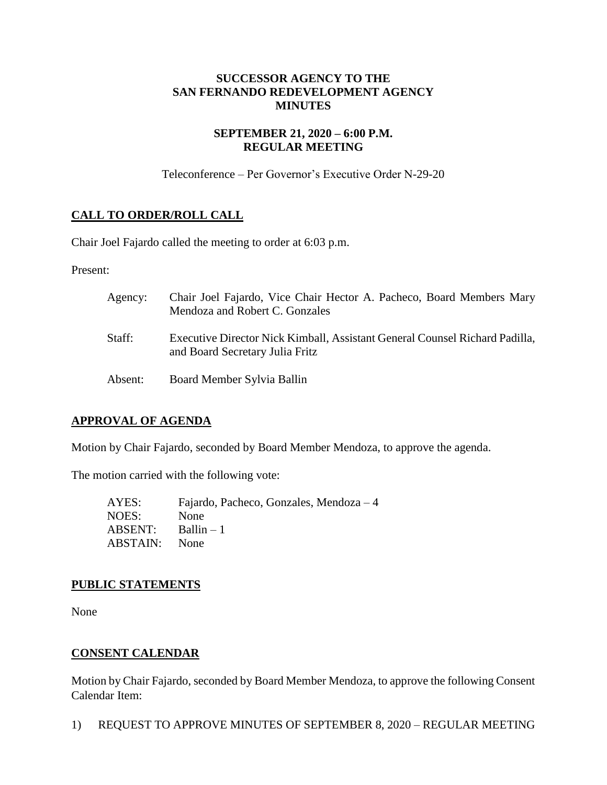# **SUCCESSOR AGENCY TO THE SAN FERNANDO REDEVELOPMENT AGENCY MINUTES**

# **SEPTEMBER 21, 2020 – 6:00 P.M. REGULAR MEETING**

Teleconference – Per Governor's Executive Order N-29-20

# **CALL TO ORDER/ROLL CALL**

Chair Joel Fajardo called the meeting to order at 6:03 p.m.

Present:

| Agency: | Chair Joel Fajardo, Vice Chair Hector A. Pacheco, Board Members Mary<br>Mendoza and Robert C. Gonzales                |
|---------|-----------------------------------------------------------------------------------------------------------------------|
| Staff:  | <b>Executive Director Nick Kimball, Assistant General Counsel Richard Padilla,</b><br>and Board Secretary Julia Fritz |
| Absent: | Board Member Sylvia Ballin                                                                                            |

# **APPROVAL OF AGENDA**

Motion by Chair Fajardo, seconded by Board Member Mendoza, to approve the agenda.

The motion carried with the following vote:

AYES: Fajardo, Pacheco, Gonzales, Mendoza – 4 NOES: None  $ABSENT:$  Ballin – 1 ABSTAIN: None

### **PUBLIC STATEMENTS**

None

### **CONSENT CALENDAR**

Motion by Chair Fajardo, seconded by Board Member Mendoza, to approve the following Consent Calendar Item:

1) REQUEST TO APPROVE MINUTES OF SEPTEMBER 8, 2020 – REGULAR MEETING